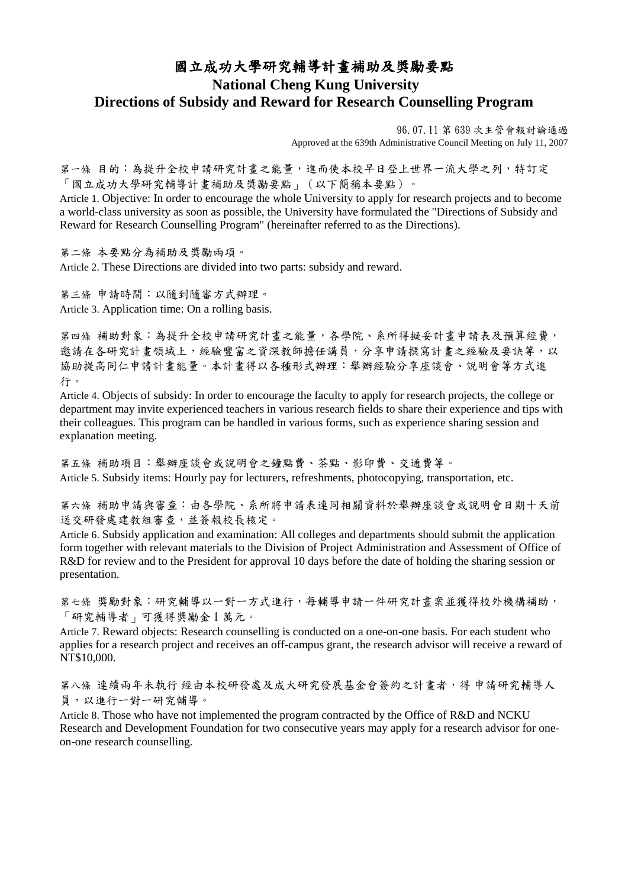## 國立成功大學研究輔導計書補助及獎勵要點 **National Cheng Kung University Directions of Subsidy and Reward for Research Counselling Program**

96.07.11 第 639 次主管會報討論通過 Approved at the 639th Administrative Council Meeting on July 11, 2007

第一條 目的:為提升全校申請研究計畫之能量,進而使本校早日登上世界一流大學之列,特訂定 「國立成功大學研究輔導計畫補助及獎勵要點」(以下簡稱本要點)。

Article 1. Objective: In order to encourage the whole University to apply for research projects and to become a world-class university as soon as possible, the University have formulated the "Directions of Subsidy and Reward for Research Counselling Program" (hereinafter referred to as the Directions).

第二條 本要點分為補助及獎勵兩項。

Article 2. These Directions are divided into two parts: subsidy and reward.

第三條 申請時間:以隨到隨審方式辦理。 Article 3. Application time: On a rolling basis.

第四條 補助對象:為提升全校申請研究計畫之能量,各學院、系所得擬妥計畫申請表及預算經費, 邀請在各研究計畫領域上,經驗豐富之資深教師擔任講員,分享申請撰寫計畫之經驗及要訣等,以 協助提高同仁申請計書能量。本計書得以各種形式辦理:舉辦經驗分享座談會、說明會等方式進 行。

Article 4. Objects of subsidy: In order to encourage the faculty to apply for research projects, the college or department may invite experienced teachers in various research fields to share their experience and tips with their colleagues. This program can be handled in various forms, such as experience sharing session and explanation meeting.

第五條 補助項目:舉辦座談會或說明會之鐘點費、茶點、影印費、交通費等。 Article 5. Subsidy items: Hourly pay for lecturers, refreshments, photocopying, transportation, etc.

第六條 補助申請與審查:由各學院、系所將申請表連同相關資料於舉辦座談會或說明會日期十天前 送交研發處建教組審查,並簽報校長核定。

Article 6. Subsidy application and examination: All colleges and departments should submit the application form together with relevant materials to the Division of Project Administration and Assessment of Office of R&D for review and to the President for approval 10 days before the date of holding the sharing session or presentation.

第七條 獎勵對象:研究輔導以一對一方式進行,每輔導申請一件研究計畫案並獲得校外機構補助, 「研究輔導者」可獲得獎勵金 1 萬元。

Article 7. Reward objects: Research counselling is conducted on a one-on-one basis. For each student who applies for a research project and receives an off-campus grant, the research advisor will receive a reward of NT\$10,000.

第八條 連續兩年未執行 經由本校研發處及成大研究發展基金會簽約之計畫者,得申請研究輔導人 員,以進行一對一研究輔導。

Article 8. Those who have not implemented the program contracted by the Office of R&D and NCKU Research and Development Foundation for two consecutive years may apply for a research advisor for oneon-one research counselling.